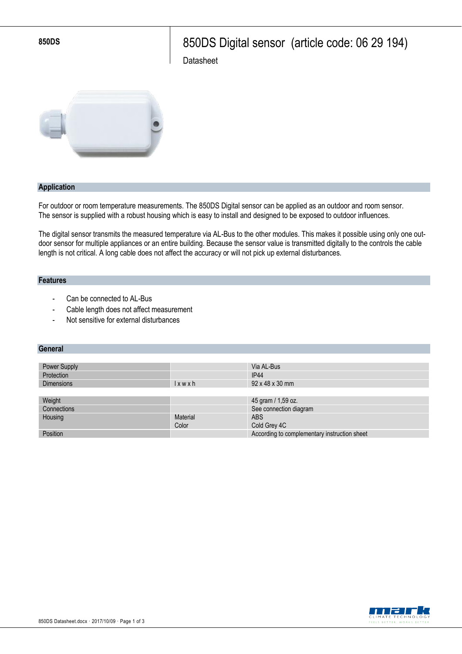**850DS** 850DS Digital sensor (article code: 06 29 194)

**Datasheet** 



### **Application**

For outdoor or room temperature measurements. The 850DS Digital sensor can be applied as an outdoor and room sensor. The sensor is supplied with a robust housing which is easy to install and designed to be exposed to outdoor influences.

The digital sensor transmits the measured temperature via AL-Bus to the other modules. This makes it possible using only one outdoor sensor for multiple appliances or an entire building. Because the sensor value is transmitted digitally to the controls the cable length is not critical. A long cable does not affect the accuracy or will not pick up external disturbances.

### **Features**

- Can be connected to AL-Bus
- Cable length does not affect measurement
- Not sensitive for external disturbances

### **General**

| Power Supply      |             | Via AL-Bus                                   |
|-------------------|-------------|----------------------------------------------|
| Protection        |             | <b>IP44</b>                                  |
| <b>Dimensions</b> | $l$ x w x h | $92 \times 48 \times 30$ mm                  |
|                   |             |                                              |
| Weight            |             | 45 gram / 1,59 oz.                           |
| Connections       |             | See connection diagram                       |
| Housing           | Material    | <b>ABS</b>                                   |
|                   | Color       | Cold Grey 4C                                 |
| Position          |             | According to complementary instruction sheet |

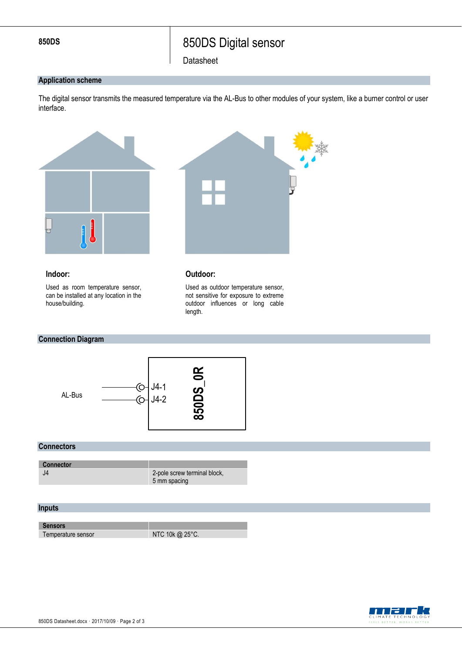# **850DS** 850DS Digital sensor

**Datasheet** 

### **Application scheme**

The digital sensor transmits the measured temperature via the AL-Bus to other modules of your system, like a burner control or user interface.

> Used as outdoor temperature sensor, not sensitive for exposure to extreme outdoor influences or long cable



length.

### **Indoor:**

Used as room temperature sensor, can be installed at any location in the house/building.

# **Connection Diagram**



### **Connectors**

| <b>Connector</b> |                                              |
|------------------|----------------------------------------------|
| J4               | 2-pole screw terminal block,<br>5 mm spacing |

## **Inputs**

**Sensors**

Temperature sensor NTC 10k @ 25°C.